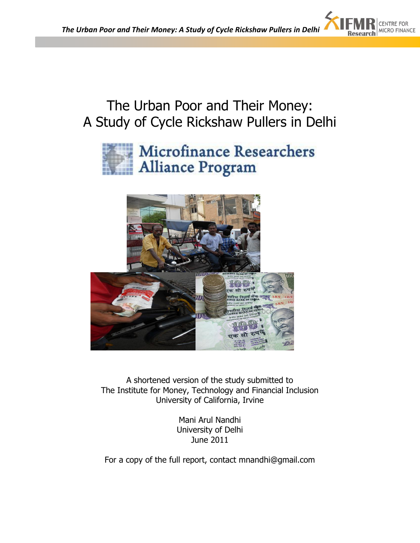

# The Urban Poor and Their Money: A Study of Cycle Rickshaw Pullers in Delhi





A shortened version of the study submitted to The Institute for Money, Technology and Financial Inclusion University of California, Irvine

> Mani Arul Nandhi University of Delhi June 2011

For a copy of the full report, contact mnandhi@gmail.com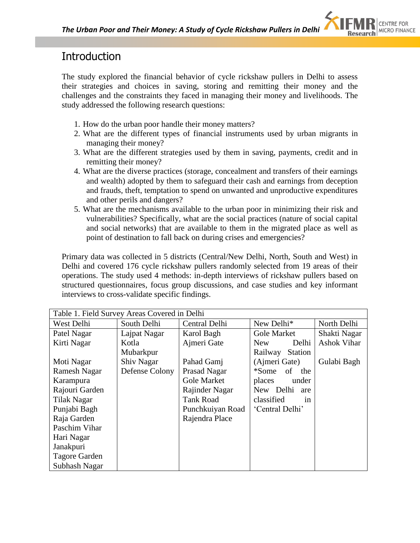

# **Introduction**

The study explored the financial behavior of cycle rickshaw pullers in Delhi to assess their strategies and choices in saving, storing and remitting their money and the challenges and the constraints they faced in managing their money and livelihoods. The study addressed the following research questions:

- 1. How do the urban poor handle their money matters?
- 2. What are the different types of financial instruments used by urban migrants in managing their money?
- 3. What are the different strategies used by them in saving, payments, credit and in remitting their money?
- 4. What are the diverse practices (storage, concealment and transfers of their earnings and wealth) adopted by them to safeguard their cash and earnings from deception and frauds, theft, temptation to spend on unwanted and unproductive expenditures and other perils and dangers?
- 5. What are the mechanisms available to the urban poor in minimizing their risk and vulnerabilities? Specifically, what are the social practices (nature of social capital and social networks) that are available to them in the migrated place as well as point of destination to fall back on during crises and emergencies?

Primary data was collected in 5 districts (Central/New Delhi, North, South and West) in Delhi and covered 176 cycle rickshaw pullers randomly selected from 19 areas of their operations. The study used 4 methods: in-depth interviews of rickshaw pullers based on structured questionnaires, focus group discussions, and case studies and key informant interviews to cross-validate specific findings.

| Table 1. Field Survey Areas Covered in Delhi |                |                    |                           |                    |  |  |  |
|----------------------------------------------|----------------|--------------------|---------------------------|--------------------|--|--|--|
| West Delhi                                   | South Delhi    | Central Delhi      | New Delhi*                | North Delhi        |  |  |  |
| Patel Nagar                                  | Lajpat Nagar   | Karol Bagh         | <b>Gole Market</b>        | Shakti Nagar       |  |  |  |
| Kirti Nagar                                  | Kotla          | Ajmeri Gate        | Delhi<br>New              | <b>Ashok Vihar</b> |  |  |  |
|                                              | Mubarkpur      |                    | Railway<br><b>Station</b> |                    |  |  |  |
| Moti Nagar                                   | Shiv Nagar     | Pahad Gamj         | (Ajmeri Gate)             | Gulabi Bagh        |  |  |  |
| Ramesh Nagar                                 | Defense Colony | Prasad Nagar       | *Some of<br>the           |                    |  |  |  |
| Karampura                                    |                | <b>Gole Market</b> | places<br>under           |                    |  |  |  |
| Rajouri Garden                               |                | Rajinder Nagar     | New Delhi<br>are          |                    |  |  |  |
| Tilak Nagar                                  |                | <b>Tank Road</b>   | classified<br>in          |                    |  |  |  |
| Punjabi Bagh                                 |                | Punchkuiyan Road   | 'Central Delhi'           |                    |  |  |  |
| Raja Garden                                  |                | Rajendra Place     |                           |                    |  |  |  |
| Paschim Vihar                                |                |                    |                           |                    |  |  |  |
| Hari Nagar                                   |                |                    |                           |                    |  |  |  |
| Janakpuri                                    |                |                    |                           |                    |  |  |  |
| <b>Tagore Garden</b>                         |                |                    |                           |                    |  |  |  |
| Subhash Nagar                                |                |                    |                           |                    |  |  |  |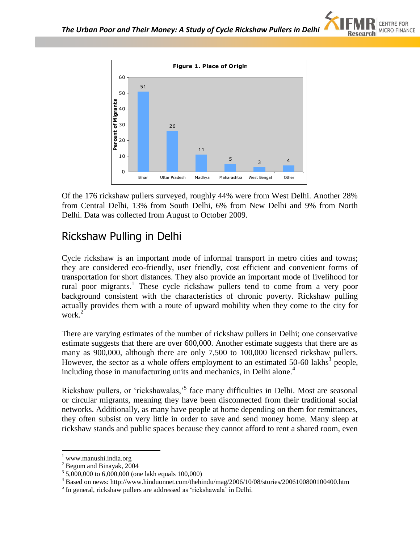



Of the 176 rickshaw pullers surveyed, roughly 44% were from West Delhi. Another 28% from Central Delhi, 13% from South Delhi, 6% from New Delhi and 9% from North Delhi. Data was collected from August to October 2009.

# Rickshaw Pulling in Delhi

Cycle rickshaw is an important mode of informal transport in metro cities and towns; they are considered eco-friendly, user friendly, cost efficient and convenient forms of transportation for short distances. They also provide an important mode of livelihood for rural poor migrants.<sup>1</sup> These cycle rickshaw pullers tend to come from a very poor background consistent with the characteristics of chronic poverty. Rickshaw pulling actually provides them with a route of upward mobility when they come to the city for work.<sup>2</sup>

There are varying estimates of the number of rickshaw pullers in Delhi; one conservative estimate suggests that there are over 600,000. Another estimate suggests that there are as many as 900,000, although there are only 7,500 to 100,000 licensed rickshaw pullers. However, the sector as a whole offers employment to an estimated  $50-60$  lakhs<sup>3</sup> people, including those in manufacturing units and mechanics, in Delhi alone.<sup>4</sup>

Rickshaw pullers, or 'rickshawalas,'<sup>5</sup> face many difficulties in Delhi. Most are seasonal or circular migrants, meaning they have been disconnected from their traditional social networks. Additionally, as many have people at home depending on them for remittances, they often subsist on very little in order to save and send money home. Many sleep at rickshaw stands and public spaces because they cannot afford to rent a shared room, even

<sup>1</sup> www.manushi.india.org

 $2$  Begum and Binayak,  $2004$ 

<sup>&</sup>lt;sup>3</sup> 5,000,000 to 6,000,000 (one lakh equals 100,000)

<sup>4</sup> Based on news: http://www.hinduonnet.com/thehindu/mag/2006/10/08/stories/2006100800100400.htm

<sup>&</sup>lt;sup>5</sup> In general, rickshaw pullers are addressed as 'rickshawala' in Delhi.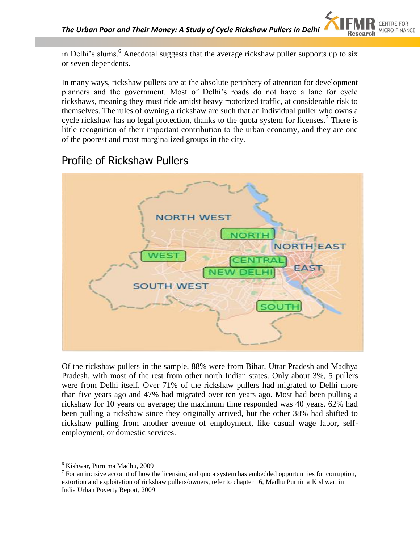in Delhi's slums.<sup>6</sup> Anecdotal suggests that the average rickshaw puller supports up to six or seven dependents.

In many ways, rickshaw pullers are at the absolute periphery of attention for development planners and the government. Most of Delhi"s roads do not have a lane for cycle rickshaws, meaning they must ride amidst heavy motorized traffic, at considerable risk to themselves. The rules of owning a rickshaw are such that an individual puller who owns a cycle rickshaw has no legal protection, thanks to the quota system for licenses.<sup>7</sup> There is little recognition of their important contribution to the urban economy, and they are one of the poorest and most marginalized groups in the city.

# Profile of Rickshaw Pullers



Of the rickshaw pullers in the sample, 88% were from Bihar, Uttar Pradesh and Madhya Pradesh, with most of the rest from other north Indian states. Only about 3%, 5 pullers were from Delhi itself. Over 71% of the rickshaw pullers had migrated to Delhi more than five years ago and 47% had migrated over ten years ago. Most had been pulling a rickshaw for 10 years on average; the maximum time responded was 40 years. 62% had been pulling a rickshaw since they originally arrived, but the other 38% had shifted to rickshaw pulling from another avenue of employment, like casual wage labor, selfemployment, or domestic services.

<sup>6</sup> Kishwar, Purnima Madhu, 2009

 $<sup>7</sup>$  For an incisive account of how the licensing and quota system has embedded opportunities for corruption,</sup> extortion and exploitation of rickshaw pullers/owners, refer to chapter 16, Madhu Purnima Kishwar, in India Urban Poverty Report, 2009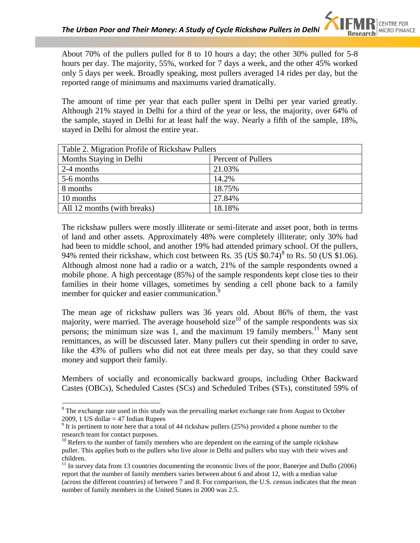About 70% of the pullers pulled for 8 to 10 hours a day; the other 30% pulled for 5-8 hours per day. The majority, 55%, worked for 7 days a week, and the other 45% worked only 5 days per week. Broadly speaking, most pullers averaged 14 rides per day, but the reported range of minimums and maximums varied dramatically.

The amount of time per year that each puller spent in Delhi per year varied greatly. Although 21% stayed in Delhi for a third of the year or less, the majority, over 64% of the sample, stayed in Delhi for at least half the way. Nearly a fifth of the sample, 18%, stayed in Delhi for almost the entire year.

| Table 2. Migration Profile of Rickshaw Pullers |                    |  |  |  |
|------------------------------------------------|--------------------|--|--|--|
| Months Staying in Delhi                        | Percent of Pullers |  |  |  |
| 2-4 months                                     | 21.03%             |  |  |  |
| 5-6 months                                     | 14.2%              |  |  |  |
| 8 months                                       | 18.75%             |  |  |  |
| 10 months                                      | 27.84%             |  |  |  |
| All 12 months (with breaks)                    | 18.18%             |  |  |  |

The rickshaw pullers were mostly illiterate or semi-literate and asset poor, both in terms of land and other assets. Approximately 48% were completely illiterate; only 30% had had been to middle school, and another 19% had attended primary school. Of the pullers, 94% rented their rickshaw, which cost between Rs. 35 (US  $$0.74$ )<sup>8</sup> to Rs. 50 (US  $$1.06$ ). Although almost none had a radio or a watch, 21% of the sample respondents owned a mobile phone. A high percentage (85%) of the sample respondents kept close ties to their families in their home villages, sometimes by sending a cell phone back to a family member for quicker and easier communication.<sup>9</sup>

The mean age of rickshaw pullers was 36 years old. About 86% of them, the vast majority, were married. The average household size<sup>10</sup> of the sample respondents was six persons; the minimum size was 1, and the maximum 19 family members.<sup>11</sup> Many sent remittances, as will be discussed later. Many pullers cut their spending in order to save, like the 43% of pullers who did not eat three meals per day, so that they could save money and support their family.

Members of socially and economically backward groups, including Other Backward Castes (OBCs), Scheduled Castes (SCs) and Scheduled Tribes (STs), constituted 59% of

<sup>&</sup>lt;sup>8</sup> The exchange rate used in this study was the prevailing market exchange rate from August to October 2009, 1 US dollar  $= 47$  Indian Rupees

 $9$  It is pertinent to note here that a total of 44 rickshaw pullers (25%) provided a phone number to the research team for contact purposes.

 $10<sup>10</sup>$  Refers to the number of family members who are dependent on the earning of the sample rickshaw puller. This applies both to the pullers who live alone in Delhi and pullers who stay with their wives and children.

 $11$  In survey data from 13 countries documenting the economic lives of the poor, Banerjee and Duflo (2006) report that the number of family members varies between about 6 and about 12, with a median value (across the different countries) of between 7 and 8. For comparison, the U.S. census indicates that the mean number of family members in the United States in 2000 was 2.5.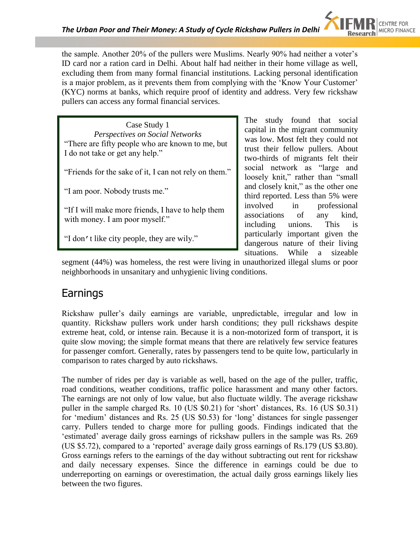the sample. Another 20% of the pullers were Muslims. Nearly 90% had neither a voter"s ID card nor a ration card in Delhi. About half had neither in their home village as well, excluding them from many formal financial institutions. Lacking personal identification is a major problem, as it prevents them from complying with the "Know Your Customer" (KYC) norms at banks, which require proof of identity and address. Very few rickshaw pullers can access any formal financial services.

Case Study 1 *Perspectives on Social Networks* "There are fifty people who are known to me, but I do not take or get any help."

"Friends for the sake of it, I can not rely on them."

"I am poor. Nobody trusts me."

"If I will make more friends, I have to help them with money. I am poor myself."

"I don't like city people, they are wily."

The study found that social capital in the migrant community was low. Most felt they could not trust their fellow pullers. About two-thirds of migrants felt their social network as "large and loosely knit," rather than "small and closely knit," as the other one third reported. Less than 5% were involved in professional associations of any kind, including unions. This is particularly important given the dangerous nature of their living situations. While a sizeable

segment (44%) was homeless, the rest were living in unauthorized illegal slums or poor neighborhoods in unsanitary and unhygienic living conditions.

### Earnings

Rickshaw puller"s daily earnings are variable, unpredictable, irregular and low in quantity. Rickshaw pullers work under harsh conditions; they pull rickshaws despite extreme heat, cold, or intense rain. Because it is a non-motorized form of transport, it is quite slow moving; the simple format means that there are relatively few service features for passenger comfort. Generally, rates by passengers tend to be quite low, particularly in comparison to rates charged by auto rickshaws.

The number of rides per day is variable as well, based on the age of the puller, traffic, road conditions, weather conditions, traffic police harassment and many other factors. The earnings are not only of low value, but also fluctuate wildly. The average rickshaw puller in the sample charged Rs. 10 (US \$0.21) for 'short' distances, Rs. 16 (US \$0.31) for "medium" distances and Rs. 25 (US \$0.53) for "long" distances for single passenger carry. Pullers tended to charge more for pulling goods. Findings indicated that the "estimated" average daily gross earnings of rickshaw pullers in the sample was Rs. 269 (US \$5.72), compared to a "reported" average daily gross earnings of Rs.179 (US \$3.80). Gross earnings refers to the earnings of the day without subtracting out rent for rickshaw and daily necessary expenses. Since the difference in earnings could be due to underreporting on earnings or overestimation, the actual daily gross earnings likely lies between the two figures.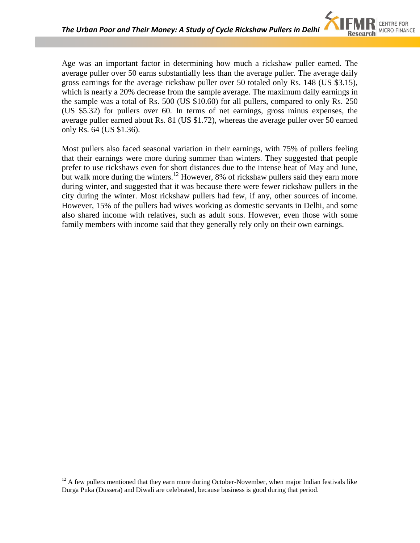Age was an important factor in determining how much a rickshaw puller earned. The average puller over 50 earns substantially less than the average puller. The average daily gross earnings for the average rickshaw puller over 50 totaled only Rs. 148 (US \$3.15), which is nearly a 20% decrease from the sample average. The maximum daily earnings in the sample was a total of Rs. 500 (US \$10.60) for all pullers, compared to only Rs. 250 (US \$5.32) for pullers over 60. In terms of net earnings, gross minus expenses, the average puller earned about Rs. 81 (US \$1.72), whereas the average puller over 50 earned only Rs. 64 (US \$1.36).

Most pullers also faced seasonal variation in their earnings, with 75% of pullers feeling that their earnings were more during summer than winters. They suggested that people prefer to use rickshaws even for short distances due to the intense heat of May and June, but walk more during the winters.<sup>12</sup> However, 8% of rickshaw pullers said they earn more during winter, and suggested that it was because there were fewer rickshaw pullers in the city during the winter. Most rickshaw pullers had few, if any, other sources of income. However, 15% of the pullers had wives working as domestic servants in Delhi, and some also shared income with relatives, such as adult sons. However, even those with some family members with income said that they generally rely only on their own earnings.

 $12$  A few pullers mentioned that they earn more during October-November, when major Indian festivals like Durga Puka (Dussera) and Diwali are celebrated, because business is good during that period.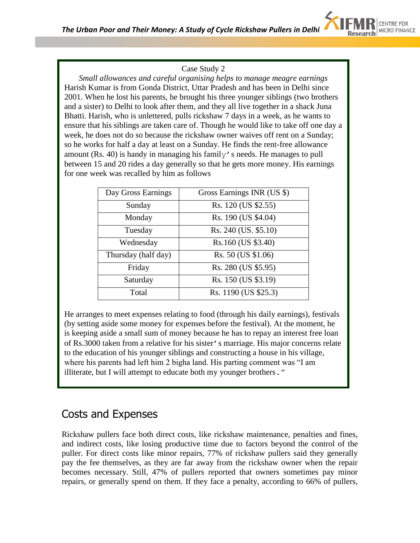

#### Case Study 2

*Small allowances and careful organising helps to manage meagre earnings* Harish Kumar is from Gonda District, Uttar Pradesh and has been in Delhi since 2001. When he lost his parents, he brought his three younger siblings (two brothers and a sister) to Delhi to look after them, and they all live together in a shack Juna Bhatti. Harish, who is unlettered, pulls rickshaw 7 days in a week, as he wants to ensure that his siblings are taken care of. Though he would like to take off one day a week, he does not do so because the rickshaw owner waives off rent on a Sunday; so he works for half a day at least on a Sunday. He finds the rent-free allowance amount (Rs. 40) is handy in managing his family's needs. He manages to pull between 15 and 20 rides a day generally so that he gets more money. His earnings for one week was recalled by him as follows

| Day Gross Earnings  | Gross Earnings INR (US \$) |  |  |
|---------------------|----------------------------|--|--|
| Sunday              | Rs. 120 (US \$2.55)        |  |  |
| Monday              | Rs. 190 (US \$4.04)        |  |  |
| Tuesday             | Rs. 240 (US. \$5.10)       |  |  |
| Wednesday           | Rs.160 (US \$3.40)         |  |  |
| Thursday (half day) | Rs. 50 (US \$1.06)         |  |  |
| Friday              | Rs. 280 (US \$5.95)        |  |  |
| Saturday            | Rs. 150 (US \$3.19)        |  |  |
| Total               | Rs. 1190 (US \$25.3)       |  |  |

He arranges to meet expenses relating to food (through his daily earnings), festivals (by setting aside some money for expenses before the festival). At the moment, he is keeping aside a small sum of money because he has to repay an interest free loan of Rs.3000 taken from a relative for his sister's marriage. His major concerns relate to the education of his younger siblings and constructing a house in his village, where his parents had left him 2 bigha land. His parting comment was "I am illiterate, but I will attempt to educate both my younger brothers."

### Costs and Expenses

Rickshaw pullers face both direct costs, like rickshaw maintenance, penalties and fines, and indirect costs, like losing productive time due to factors beyond the control of the puller. For direct costs like minor repairs, 77% of rickshaw pullers said they generally pay the fee themselves, as they are far away from the rickshaw owner when the repair becomes necessary. Still, 47% of pullers reported that owners sometimes pay minor repairs, or generally spend on them. If they face a penalty, according to 66% of pullers,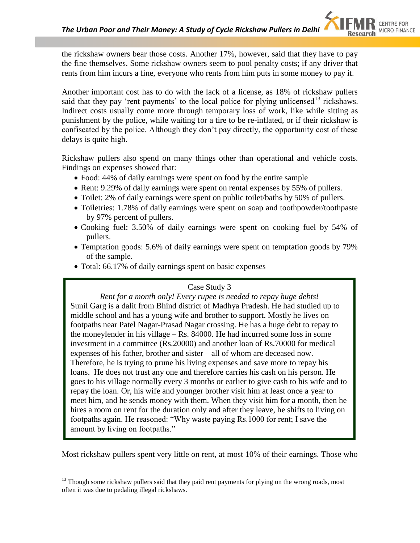the rickshaw owners bear those costs. Another 17%, however, said that they have to pay the fine themselves. Some rickshaw owners seem to pool penalty costs; if any driver that rents from him incurs a fine, everyone who rents from him puts in some money to pay it.

Another important cost has to do with the lack of a license, as 18% of rickshaw pullers said that they pay 'rent payments' to the local police for plying unlicensed<sup>13</sup> rickshaws. Indirect costs usually come more through temporary loss of work, like while sitting as punishment by the police, while waiting for a tire to be re-inflated, or if their rickshaw is confiscated by the police. Although they don"t pay directly, the opportunity cost of these delays is quite high.

Rickshaw pullers also spend on many things other than operational and vehicle costs. Findings on expenses showed that:

- Food: 44% of daily earnings were spent on food by the entire sample
- Rent: 9.29% of daily earnings were spent on rental expenses by 55% of pullers.
- Toilet: 2% of daily earnings were spent on public toilet/baths by 50% of pullers.
- Toiletries: 1.78% of daily earnings were spent on soap and toothpowder/toothpaste by 97% percent of pullers.
- Cooking fuel: 3.50% of daily earnings were spent on cooking fuel by 54% of pullers.
- Temptation goods: 5.6% of daily earnings were spent on temptation goods by 79% of the sample.
- Total: 66.17% of daily earnings spent on basic expenses

#### Case Study 3

*Rent for a month only! Every rupee is needed to repay huge debts!* Sunil Garg is a dalit from Bhind district of Madhya Pradesh. He had studied up to middle school and has a young wife and brother to support. Mostly he lives on footpaths near Patel Nagar-Prasad Nagar crossing. He has a huge debt to repay to the moneylender in his village – Rs. 84000. He had incurred some loss in some investment in a committee (Rs.20000) and another loan of Rs.70000 for medical expenses of his father, brother and sister – all of whom are deceased now. Therefore, he is trying to prune his living expenses and save more to repay his loans. He does not trust any one and therefore carries his cash on his person. He goes to his village normally every 3 months or earlier to give cash to his wife and to repay the loan. Or, his wife and younger brother visit him at least once a year to meet him, and he sends money with them. When they visit him for a month, then he hires a room on rent for the duration only and after they leave, he shifts to living on footpaths again. He reasoned: "Why waste paying Rs.1000 for rent; I save the amount by living on footpaths."

Most rickshaw pullers spent very little on rent, at most 10% of their earnings. Those who

 $13$  Though some rickshaw pullers said that they paid rent payments for plying on the wrong roads, most often it was due to pedaling illegal rickshaws.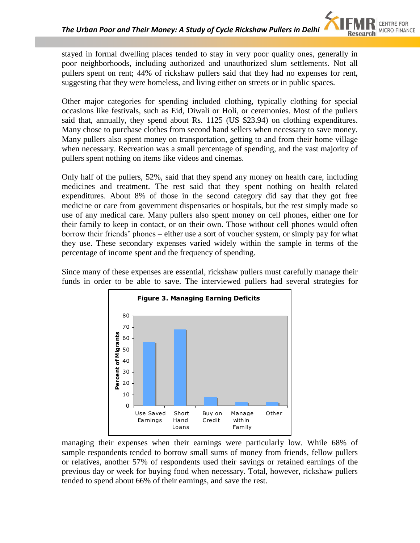stayed in formal dwelling places tended to stay in very poor quality ones, generally in poor neighborhoods, including authorized and unauthorized slum settlements. Not all pullers spent on rent; 44% of rickshaw pullers said that they had no expenses for rent, suggesting that they were homeless, and living either on streets or in public spaces.

Other major categories for spending included clothing, typically clothing for special occasions like festivals, such as Eid, Diwali or Holi, or ceremonies. Most of the pullers said that, annually, they spend about Rs. 1125 (US \$23.94) on clothing expenditures. Many chose to purchase clothes from second hand sellers when necessary to save money. Many pullers also spent money on transportation, getting to and from their home village when necessary. Recreation was a small percentage of spending, and the vast majority of pullers spent nothing on items like videos and cinemas.

Only half of the pullers, 52%, said that they spend any money on health care, including medicines and treatment. The rest said that they spent nothing on health related expenditures. About 8% of those in the second category did say that they got free medicine or care from government dispensaries or hospitals, but the rest simply made so use of any medical care. Many pullers also spent money on cell phones, either one for their family to keep in contact, or on their own. Those without cell phones would often borrow their friends" phones – either use a sort of voucher system, or simply pay for what they use. These secondary expenses varied widely within the sample in terms of the percentage of income spent and the frequency of spending.

Since many of these expenses are essential, rickshaw pullers must carefully manage their funds in order to be able to save. The interviewed pullers had several strategies for



managing their expenses when their earnings were particularly low. While 68% of sample respondents tended to borrow small sums of money from friends, fellow pullers or relatives, another 57% of respondents used their savings or retained earnings of the previous day or week for buying food when necessary. Total, however, rickshaw pullers tended to spend about 66% of their earnings, and save the rest.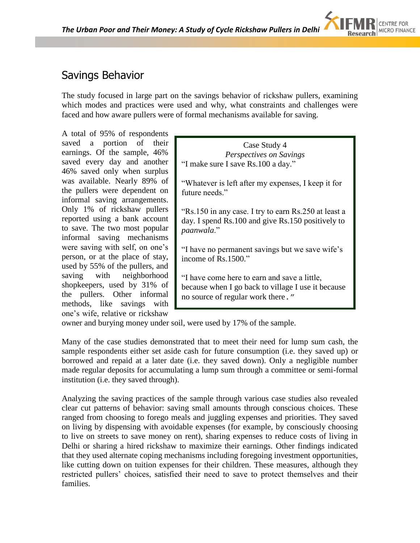# Savings Behavior

The study focused in large part on the savings behavior of rickshaw pullers, examining which modes and practices were used and why, what constraints and challenges were faced and how aware pullers were of formal mechanisms available for saving.

A total of 95% of respondents saved a portion of their earnings. Of the sample, 46% saved every day and another 46% saved only when surplus was available. Nearly 89% of the pullers were dependent on informal saving arrangements. Only 1% of rickshaw pullers reported using a bank account to save. The two most popular informal saving mechanisms were saving with self, on one"s person, or at the place of stay, used by 55% of the pullers, and saving with neighborhood shopkeepers, used by 31% of the pullers. Other informal methods, like savings with one"s wife, relative or rickshaw

Case Study 4 *Perspectives on Savings* "I make sure I save Rs.100 a day."

"Whatever is left after my expenses, I keep it for future needs."

"Rs.150 in any case. I try to earn Rs.250 at least a day. I spend Rs.100 and give Rs.150 positively to *paanwala*."

"I have no permanent savings but we save wife"s income of Rs.1500."

"I have come here to earn and save a little, because when I go back to village I use it because no source of regular work there."

owner and burying money under soil, were used by 17% of the sample.

Many of the case studies demonstrated that to meet their need for lump sum cash, the sample respondents either set aside cash for future consumption (i.e. they saved up) or borrowed and repaid at a later date (i.e. they saved down). Only a negligible number made regular deposits for accumulating a lump sum through a committee or semi-formal institution (i.e. they saved through).

Analyzing the saving practices of the sample through various case studies also revealed clear cut patterns of behavior: saving small amounts through conscious choices. These ranged from choosing to forego meals and juggling expenses and priorities. They saved on living by dispensing with avoidable expenses (for example, by consciously choosing to live on streets to save money on rent), sharing expenses to reduce costs of living in Delhi or sharing a hired rickshaw to maximize their earnings. Other findings indicated that they used alternate coping mechanisms including foregoing investment opportunities, like cutting down on tuition expenses for their children. These measures, although they restricted pullers' choices, satisfied their need to save to protect themselves and their families.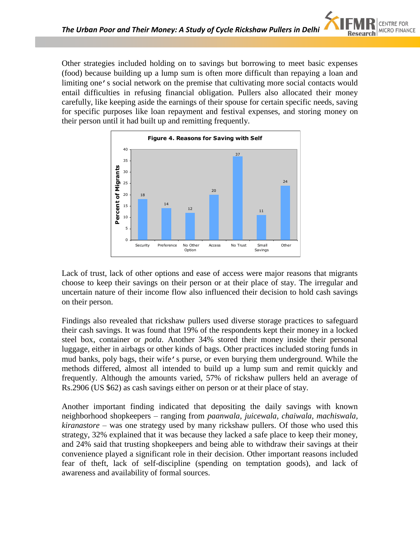Other strategies included holding on to savings but borrowing to meet basic expenses (food) because building up a lump sum is often more difficult than repaying a loan and limiting one's social network on the premise that cultivating more social contacts would entail difficulties in refusing financial obligation. Pullers also allocated their money carefully, like keeping aside the earnings of their spouse for certain specific needs, saving for specific purposes like loan repayment and festival expenses, and storing money on their person until it had built up and remitting frequently.



Lack of trust, lack of other options and ease of access were major reasons that migrants choose to keep their savings on their person or at their place of stay. The irregular and uncertain nature of their income flow also influenced their decision to hold cash savings on their person.

Findings also revealed that rickshaw pullers used diverse storage practices to safeguard their cash savings. It was found that 19% of the respondents kept their money in a locked steel box, container or *potla*. Another 34% stored their money inside their personal luggage, either in airbags or other kinds of bags. Other practices included storing funds in mud banks, poly bags, their wife's purse, or even burying them underground. While the methods differed, almost all intended to build up a lump sum and remit quickly and frequently. Although the amounts varied, 57% of rickshaw pullers held an average of Rs.2906 (US \$62) as cash savings either on person or at their place of stay.

Another important finding indicated that depositing the daily savings with known neighborhood shopkeepers – ranging from *paanwala, juicewala, chaiwala, machiswala, kiranastore* – was one strategy used by many rickshaw pullers. Of those who used this strategy, 32% explained that it was because they lacked a safe place to keep their money, and 24% said that trusting shopkeepers and being able to withdraw their savings at their convenience played a significant role in their decision. Other important reasons included fear of theft, lack of self-discipline (spending on temptation goods), and lack of awareness and availability of formal sources.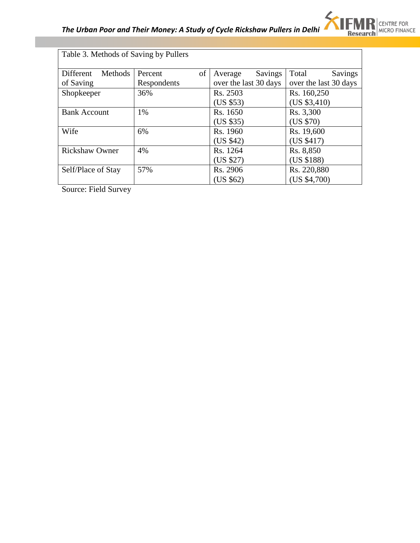

| Methods<br>Different  | $\sigma$<br>Percent | Savings<br>Average    | Total<br>Savings      |
|-----------------------|---------------------|-----------------------|-----------------------|
| of Saving             | Respondents         | over the last 30 days | over the last 30 days |
| Shopkeeper            | 36%                 | Rs. 2503              | Rs. 160,250           |
|                       |                     | (US \$53)             | (US \$3,410)          |
| <b>Bank Account</b>   | 1%                  | Rs. 1650              | Rs. 3,300             |
|                       |                     | (US \$35)             | (US \$70)             |
| Wife                  | 6%                  | Rs. 1960              | Rs. 19,600            |
|                       |                     | (US \$42)             | (US \$417)            |
| <b>Rickshaw Owner</b> | 4%                  | Rs. 1264              | Rs. 8,850             |
|                       |                     | (US \$27)             | (US \$188)            |
| Self/Place of Stay    | 57%                 | Rs. 2906              | Rs. 220,880           |
|                       |                     | (US \$62)             | (US \$4,700)          |

Source: Field Survey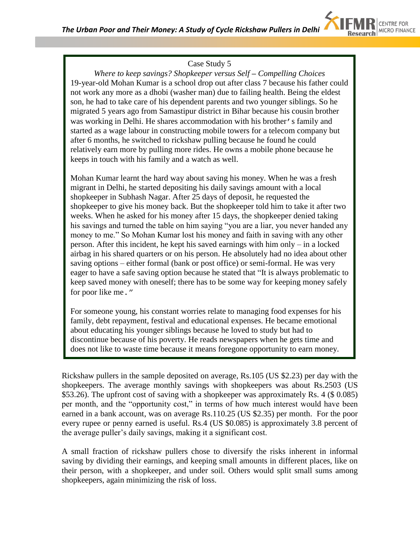

#### Case Study 5

*Where to keep savings? Shopkeeper versus Self – Compelling Choices* 19-year-old Mohan Kumar is a school drop out after class 7 because his father could not work any more as a dhobi (washer man) due to failing health. Being the eldest son, he had to take care of his dependent parents and two younger siblings. So he migrated 5 years ago from Samastipur district in Bihar because his cousin brother was working in Delhi. He shares accommodation with his brother's family and started as a wage labour in constructing mobile towers for a telecom company but after 6 months, he switched to rickshaw pulling because he found he could relatively earn more by pulling more rides. He owns a mobile phone because he keeps in touch with his family and a watch as well.

Mohan Kumar learnt the hard way about saving his money. When he was a fresh migrant in Delhi, he started depositing his daily savings amount with a local shopkeeper in Subhash Nagar. After 25 days of deposit, he requested the shopkeeper to give his money back. But the shopkeeper told him to take it after two weeks. When he asked for his money after 15 days, the shopkeeper denied taking his savings and turned the table on him saying "you are a liar, you never handed any money to me." So Mohan Kumar lost his money and faith in saving with any other person. After this incident, he kept his saved earnings with him only – in a locked airbag in his shared quarters or on his person. He absolutely had no idea about other saving options – either formal (bank or post office) or semi-formal. He was very eager to have a safe saving option because he stated that "It is always problematic to keep saved money with oneself; there has to be some way for keeping money safely for poor like me."

For someone young, his constant worries relate to managing food expenses for his family, debt repayment, festival and educational expenses. He became emotional about educating his younger siblings because he loved to study but had to discontinue because of his poverty. He reads newspapers when he gets time and does not like to waste time because it means foregone opportunity to earn money.

Rickshaw pullers in the sample deposited on average, Rs.105 (US \$2.23) per day with the shopkeepers. The average monthly savings with shopkeepers was about Rs.2503 (US \$53.26). The upfront cost of saving with a shopkeeper was approximately Rs. 4 (\$ 0.085) per month, and the "opportunity cost," in terms of how much interest would have been earned in a bank account, was on average Rs.110.25 (US \$2.35) per month. For the poor every rupee or penny earned is useful. Rs.4 (US \$0.085) is approximately 3.8 percent of the average puller"s daily savings, making it a significant cost.

A small fraction of rickshaw pullers chose to diversify the risks inherent in informal saving by dividing their earnings, and keeping small amounts in different places, like on their person, with a shopkeeper, and under soil. Others would split small sums among shopkeepers, again minimizing the risk of loss.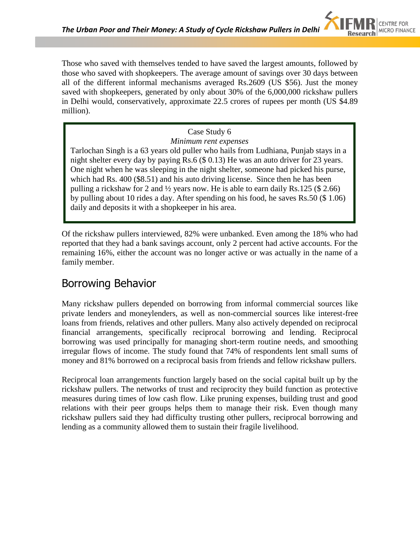Those who saved with themselves tended to have saved the largest amounts, followed by those who saved with shopkeepers. The average amount of savings over 30 days between all of the different informal mechanisms averaged Rs.2609 (US \$56). Just the money saved with shopkeepers, generated by only about 30% of the 6,000,000 rickshaw pullers in Delhi would, conservatively, approximate 22.5 crores of rupees per month (US \$4.89 million).

### Case Study 6

*Minimum rent expenses*

Tarlochan Singh is a 63 years old puller who hails from Ludhiana, Punjab stays in a night shelter every day by paying Rs.6 (\$ 0.13) He was an auto driver for 23 years. One night when he was sleeping in the night shelter, someone had picked his purse, which had Rs. 400 (\$8.51) and his auto driving license. Since then he has been pulling a rickshaw for 2 and ½ years now. He is able to earn daily Rs.125 (\$ 2.66) by pulling about 10 rides a day. After spending on his food, he saves Rs.50 (\$ 1.06) daily and deposits it with a shopkeeper in his area.

Of the rickshaw pullers interviewed, 82% were unbanked. Even among the 18% who had reported that they had a bank savings account, only 2 percent had active accounts. For the remaining 16%, either the account was no longer active or was actually in the name of a family member.

# Borrowing Behavior

Many rickshaw pullers depended on borrowing from informal commercial sources like private lenders and moneylenders, as well as non-commercial sources like interest-free loans from friends, relatives and other pullers. Many also actively depended on reciprocal financial arrangements, specifically reciprocal borrowing and lending. Reciprocal borrowing was used principally for managing short-term routine needs, and smoothing irregular flows of income. The study found that 74% of respondents lent small sums of money and 81% borrowed on a reciprocal basis from friends and fellow rickshaw pullers.

Reciprocal loan arrangements function largely based on the social capital built up by the rickshaw pullers. The networks of trust and reciprocity they build function as protective measures during times of low cash flow. Like pruning expenses, building trust and good relations with their peer groups helps them to manage their risk. Even though many rickshaw pullers said they had difficulty trusting other pullers, reciprocal borrowing and lending as a community allowed them to sustain their fragile livelihood.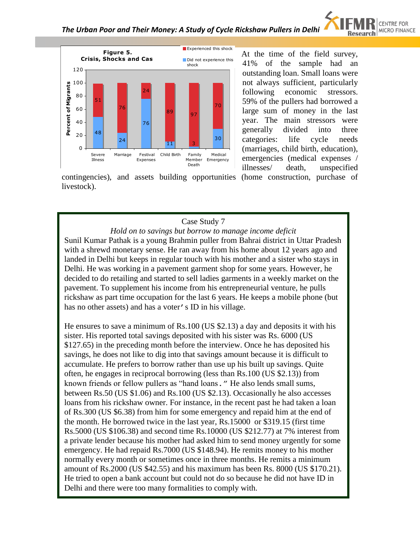



At the time of the field survey, 41% of the sample had an outstanding loan. Small loans were not always sufficient, particularly following economic stressors. 59% of the pullers had borrowed a large sum of money in the last year. The main stressors were generally divided into three categories: life cycle needs (marriages, child birth, education), emergencies (medical expenses / illnesses/ death, unspecified

contingencies), and assets building opportunities (home construction, purchase of livestock).

#### Case Study 7

*Hold on to savings but borrow to manage income deficit* Sunil Kumar Pathak is a young Brahmin puller from Bahrai district in Uttar Pradesh with a shrewd monetary sense. He ran away from his home about 12 years ago and landed in Delhi but keeps in regular touch with his mother and a sister who stays in Delhi. He was working in a pavement garment shop for some years. However, he decided to do retailing and started to sell ladies garments in a weekly market on the pavement. To supplement his income from his entrepreneurial venture, he pulls rickshaw as part time occupation for the last 6 years. He keeps a mobile phone (but has no other assets) and has a voter's ID in his village.

He ensures to save a minimum of Rs.100 (US \$2.13) a day and deposits it with his sister. His reported total savings deposited with his sister was Rs. 6000 (US \$127.65) in the preceding month before the interview. Once he has deposited his savings, he does not like to dig into that savings amount because it is difficult to accumulate. He prefers to borrow rather than use up his built up savings. Quite often, he engages in reciprocal borrowing (less than Rs.100 (US \$2.13)) from known friends or fellow pullers as "hand loans." He also lends small sums, between Rs.50 (US \$1.06) and Rs.100 (US \$2.13). Occasionally he also accesses loans from his rickshaw owner. For instance, in the recent past he had taken a loan of Rs.300 (US \$6.38) from him for some emergency and repaid him at the end of the month. He borrowed twice in the last year, Rs.15000 or \$319.15 (first time Rs.5000 (US \$106.38) and second time Rs.10000 (US \$212.77) at 7% interest from a private lender because his mother had asked him to send money urgently for some emergency. He had repaid Rs.7000 (US \$148.94). He remits money to his mother normally every month or sometimes once in three months. He remits a minimum amount of Rs.2000 (US \$42.55) and his maximum has been Rs. 8000 (US \$170.21). He tried to open a bank account but could not do so because he did not have ID in Delhi and there were too many formalities to comply with.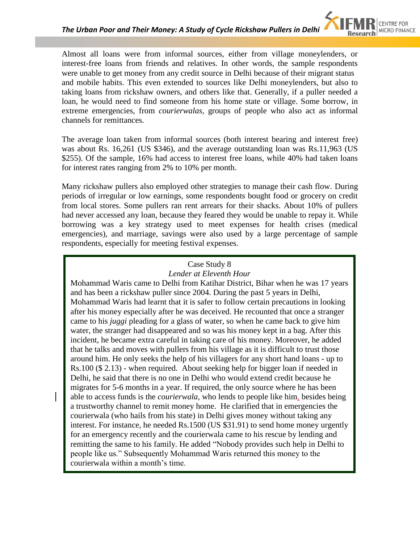

Almost all loans were from informal sources, either from village moneylenders, or interest-free loans from friends and relatives. In other words, the sample respondents were unable to get money from any credit source in Delhi because of their migrant status and mobile habits. This even extended to sources like Delhi moneylenders, but also to taking loans from rickshaw owners, and others like that. Generally, if a puller needed a loan, he would need to find someone from his home state or village. Some borrow, in extreme emergencies, from *courierwalas*, groups of people who also act as informal channels for remittances.

The average loan taken from informal sources (both interest bearing and interest free) was about Rs. 16,261 (US \$346), and the average outstanding loan was Rs.11,963 (US \$255). Of the sample, 16% had access to interest free loans, while 40% had taken loans for interest rates ranging from 2% to 10% per month.

Many rickshaw pullers also employed other strategies to manage their cash flow. During periods of irregular or low earnings, some respondents bought food or grocery on credit from local stores. Some pullers ran rent arrears for their shacks. About 10% of pullers had never accessed any loan, because they feared they would be unable to repay it. While borrowing was a key strategy used to meet expenses for health crises (medical emergencies), and marriage, savings were also used by a large percentage of sample respondents, especially for meeting festival expenses.

#### Case Study 8

#### *Lender at Eleventh Hour*

Mohammad Waris came to Delhi from Katihar District, Bihar when he was 17 years and has been a rickshaw puller since 2004. During the past 5 years in Delhi, Mohammad Waris had learnt that it is safer to follow certain precautions in looking after his money especially after he was deceived. He recounted that once a stranger came to his *juggi* pleading for a glass of water, so when he came back to give him water, the stranger had disappeared and so was his money kept in a bag. After this incident, he became extra careful in taking care of his money. Moreover, he added that he talks and moves with pullers from his village as it is difficult to trust those around him. He only seeks the help of his villagers for any short hand loans - up to Rs.100 (\$ 2.13) - when required. About seeking help for bigger loan if needed in Delhi, he said that there is no one in Delhi who would extend credit because he migrates for 5-6 months in a year. If required, the only source where he has been able to access funds is the *courierwala,* who lends to people like him, besides being a trustworthy channel to remit money home. He clarified that in emergencies the courierwala (who hails from his state) in Delhi gives money without taking any interest. For instance, he needed Rs.1500 (US \$31.91) to send home money urgently for an emergency recently and the courierwala came to his rescue by lending and remitting the same to his family. He added "Nobody provides such help in Delhi to people like us." Subsequently Mohammad Waris returned this money to the courierwala within a month"s time.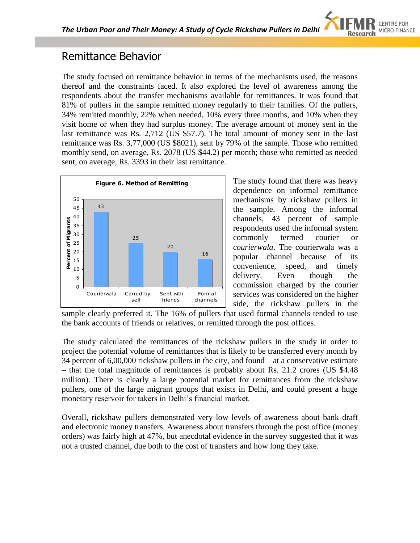

### Remittance Behavior

The study focused on remittance behavior in terms of the mechanisms used, the reasons thereof and the constraints faced. It also explored the level of awareness among the respondents about the transfer mechanisms available for remittances. It was found that 81% of pullers in the sample remitted money regularly to their families. Of the pullers, 34% remitted monthly, 22% when needed, 10% every three months, and 10% when they visit home or when they had surplus money. The average amount of money sent in the last remittance was Rs. 2,712 (US \$57.7). The total amount of money sent in the last remittance was Rs. 3,77,000 (US \$8021), sent by 79% of the sample. Those who remitted monthly send, on average, Rs. 2078 (US \$44.2) per month; those who remitted as needed sent, on average, Rs. 3393 in their last remittance.



The study found that there was heavy dependence on informal remittance mechanisms by rickshaw pullers in the sample. Among the informal channels, 43 percent of sample respondents used the informal system commonly termed courier or *courierwala*. The courierwala was a popular channel because of its convenience, speed, and timely delivery. Even though the commission charged by the courier services was considered on the higher side, the rickshaw pullers in the

sample clearly preferred it. The 16% of pullers that used formal channels tended to use the bank accounts of friends or relatives, or remitted through the post offices.

The study calculated the remittances of the rickshaw pullers in the study in order to project the potential volume of remittances that is likely to be transferred every month by 34 percent of 6,00,000 rickshaw pullers in the city, and found – at a conservative estimate – that the total magnitude of remittances is probably about Rs. 21.2 crores (US \$4.48 million). There is clearly a large potential market for remittances from the rickshaw pullers, one of the large migrant groups that exists in Delhi, and could present a huge monetary reservoir for takers in Delhi"s financial market.

Overall, rickshaw pullers demonstrated very low levels of awareness about bank draft and electronic money transfers. Awareness about transfers through the post office (money orders) was fairly high at 47%, but anecdotal evidence in the survey suggested that it was not a trusted channel, due both to the cost of transfers and how long they take.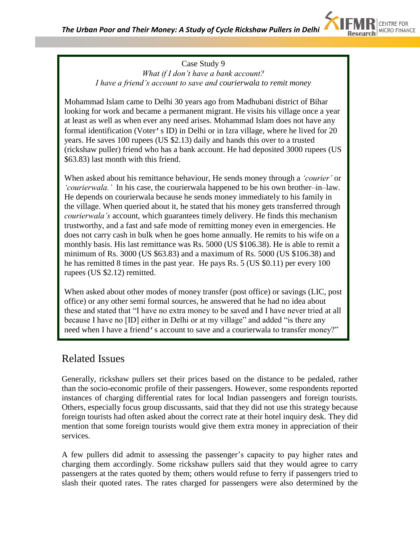

#### Case Study 9 *What if I don't have a bank account? I have a friend's account to save and courierwala to remit money*

Mohammad Islam came to Delhi 30 years ago from Madhubani district of Bihar looking for work and became a permanent migrant. He visits his village once a year at least as well as when ever any need arises. Mohammad Islam does not have any formal identification (Voter's ID) in Delhi or in Izra village, where he lived for 20 years. He saves 100 rupees (US \$2.13) daily and hands this over to a trusted (rickshaw puller) friend who has a bank account. He had deposited 3000 rupees (US \$63.83) last month with this friend.

When asked about his remittance behaviour, He sends money through a *'courier'* or *'courierwala.'* In his case, the courierwala happened to be his own brother–in–law. He depends on courierwala because he sends money immediately to his family in the village. When queried about it, he stated that his money gets transferred through *courierwala's* account, which guarantees timely delivery. He finds this mechanism trustworthy, and a fast and safe mode of remitting money even in emergencies. He does not carry cash in bulk when he goes home annually. He remits to his wife on a monthly basis. His last remittance was Rs. 5000 (US \$106.38). He is able to remit a minimum of Rs. 3000 (US \$63.83) and a maximum of Rs. 5000 (US \$106.38) and he has remitted 8 times in the past year. He pays Rs. 5 (US \$0.11) per every 100 rupees (US \$2.12) remitted.

When asked about other modes of money transfer (post office) or savings (LIC, post office) or any other semi formal sources, he answered that he had no idea about these and stated that "I have no extra money to be saved and I have never tried at all because I have no [ID] either in Delhi or at my village" and added "is there any need when I have a friend's account to save and a courierwala to transfer money?"

### Related Issues

Generally, rickshaw pullers set their prices based on the distance to be pedaled, rather than the socio-economic profile of their passengers. However, some respondents reported instances of charging differential rates for local Indian passengers and foreign tourists. Others, especially focus group discussants, said that they did not use this strategy because foreign tourists had often asked about the correct rate at their hotel inquiry desk. They did mention that some foreign tourists would give them extra money in appreciation of their services.

A few pullers did admit to assessing the passenger"s capacity to pay higher rates and charging them accordingly. Some rickshaw pullers said that they would agree to carry passengers at the rates quoted by them; others would refuse to ferry if passengers tried to slash their quoted rates. The rates charged for passengers were also determined by the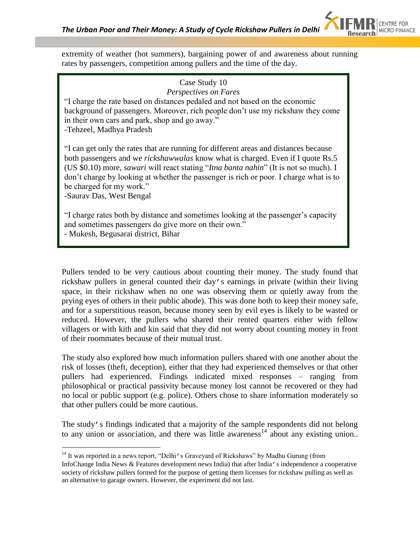extremity of weather (hot summers), bargaining power of and awareness about running rates by passengers, competition among pullers and the time of the day.

#### Case Study 10 *Perspectives on Fares*

"I charge the rate based on distances pedaled and not based on the economic background of passengers. Moreover, rich people don"t use my rickshaw they come in their own cars and park, shop and go away."

-Tehzeel, Madhya Pradesh

"I can get only the rates that are running for different areas and distances because both passengers and we *rickshawwalas* know what is charged. Even if I quote Rs.5 (US \$0.10) more, *sawari* will react stating "*Itna banta nahin*" (It is not so much). I don"t charge by looking at whether the passenger is rich or poor. I charge what is to be charged for my work."

-Saurav Das, West Bengal

 $\overline{a}$ 

"I charge rates both by distance and sometimes looking at the passenger"s capacity and sometimes passengers do give more on their own."

- Mukesh, Begusarai district, Bihar

Pullers tended to be very cautious about counting their money. The study found that rickshaw pullers in general counted their day's earnings in private (within their living space, in their rickshaw when no one was observing them or quietly away from the prying eyes of others in their public abode). This was done both to keep their money safe, and for a superstitious reason, because money seen by evil eyes is likely to be wasted or reduced. However, the pullers who shared their rented quarters either with fellow villagers or with kith and kin said that they did not worry about counting money in front of their roommates because of their mutual trust.

The study also explored how much information pullers shared with one another about the risk of losses (theft, deception), either that they had experienced themselves or that other pullers had experienced. Findings indicated mixed responses – ranging from philosophical or practical passivity because money lost cannot be recovered or they had no local or public support (e.g. police). Others chose to share information moderately so that other pullers could be more cautious.

The study's findings indicated that a majority of the sample respondents did not belong to any union or association, and there was little awareness<sup>14</sup> about any existing union..

<sup>&</sup>lt;sup>14</sup> It was reported in a news report, "Delhi's Graveyard of Rickshaws" by Madhu Gurung (from InfoChange India News & Features development news India) that after India's independence a cooperative society of rickshaw pullers formed for the purpose of getting them licenses for rickshaw pulling as well as an alternative to garage owners. However, the experiment did not last.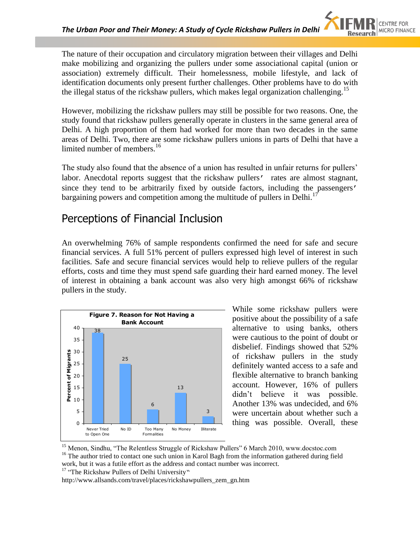The nature of their occupation and circulatory migration between their villages and Delhi make mobilizing and organizing the pullers under some associational capital (union or association) extremely difficult. Their homelessness, mobile lifestyle, and lack of identification documents only present further challenges. Other problems have to do with the illegal status of the rickshaw pullers, which makes legal organization challenging.<sup>15</sup>

However, mobilizing the rickshaw pullers may still be possible for two reasons. One, the study found that rickshaw pullers generally operate in clusters in the same general area of Delhi. A high proportion of them had worked for more than two decades in the same areas of Delhi. Two, there are some rickshaw pullers unions in parts of Delhi that have a limited number of members. $16$ 

The study also found that the absence of a union has resulted in unfair returns for pullers' labor. Anecdotal reports suggest that the rickshaw pullers' rates are almost stagnant, since they tend to be arbitrarily fixed by outside factors, including the passengers' bargaining powers and competition among the multitude of pullers in Delhi.<sup>17</sup>

### Perceptions of Financial Inclusion

An overwhelming 76% of sample respondents confirmed the need for safe and secure financial services. A full 51% percent of pullers expressed high level of interest in such facilities. Safe and secure financial services would help to relieve pullers of the regular efforts, costs and time they must spend safe guarding their hard earned money. The level of interest in obtaining a bank account was also very high amongst 66% of rickshaw pullers in the study.



While some rickshaw pullers were positive about the possibility of a safe alternative to using banks, others were cautious to the point of doubt or disbelief. Findings showed that 52% of rickshaw pullers in the study definitely wanted access to a safe and flexible alternative to branch banking account. However, 16% of pullers didn"t believe it was possible. Another 13% was undecided, and 6% were uncertain about whether such a thing was possible. Overall, these

<sup>17</sup> "The Rickshaw Pullers of Delhi University"

http://www.allsands.com/travel/places/rickshawpullers\_zem\_gn.htm

<sup>&</sup>lt;sup>15</sup> Menon, Sindhu, "The Relentless Struggle of Rickshaw Pullers" 6 March 2010, www.docstoc.com

<sup>&</sup>lt;sup>16</sup> The author tried to contact one such union in Karol Bagh from the information gathered during field work, but it was a futile effort as the address and contact number was incorrect.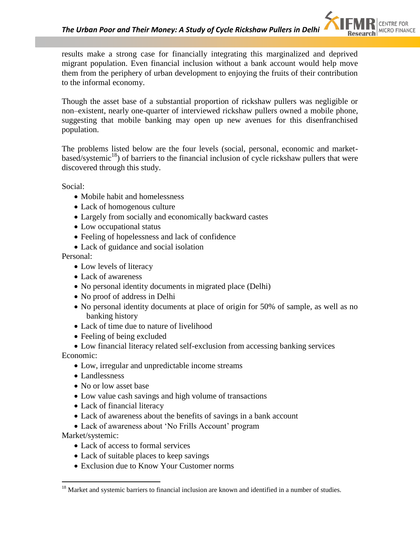results make a strong case for financially integrating this marginalized and deprived migrant population. Even financial inclusion without a bank account would help move them from the periphery of urban development to enjoying the fruits of their contribution to the informal economy.

Though the asset base of a substantial proportion of rickshaw pullers was negligible or non–existent, nearly one-quarter of interviewed rickshaw pullers owned a mobile phone, suggesting that mobile banking may open up new avenues for this disenfranchised population.

The problems listed below are the four levels (social, personal, economic and marketbased/systemic<sup>18</sup>) of barriers to the financial inclusion of cycle rickshaw pullers that were discovered through this study.

Social:

- Mobile habit and homelessness
- Lack of homogenous culture
- Largely from socially and economically backward castes
- Low occupational status
- Feeling of hopelessness and lack of confidence
- Lack of guidance and social isolation

Personal:

- Low levels of literacy
- Lack of awareness
- No personal identity documents in migrated place (Delhi)
- No proof of address in Delhi
- No personal identity documents at place of origin for 50% of sample, as well as no banking history
- Lack of time due to nature of livelihood
- Feeling of being excluded
- Low financial literacy related self-exclusion from accessing banking services Economic:
	- Low, irregular and unpredictable income streams
	- Landlessness
	- No or low asset base
	- Low value cash savings and high volume of transactions
	- Lack of financial literacy
	- Lack of awareness about the benefits of savings in a bank account
	- Lack of awareness about 'No Frills Account' program

Market/systemic:

- Lack of access to formal services
- Lack of suitable places to keep savings
- Exclusion due to Know Your Customer norms

<sup>&</sup>lt;sup>18</sup> Market and systemic barriers to financial inclusion are known and identified in a number of studies.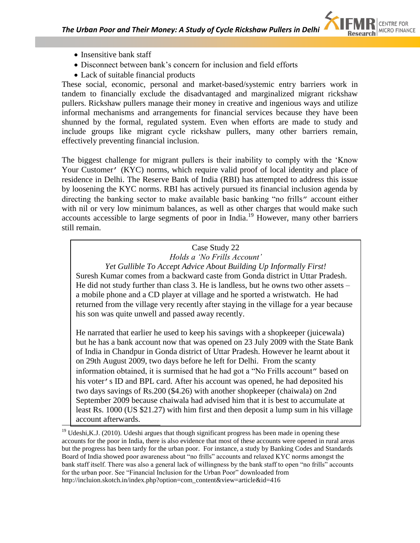

• Insensitive bank staff

 $\overline{a}$ 

- Disconnect between bank"s concern for inclusion and field efforts
- Lack of suitable financial products

These social, economic, personal and market-based/systemic entry barriers work in tandem to financially exclude the disadvantaged and marginalized migrant rickshaw pullers. Rickshaw pullers manage their money in creative and ingenious ways and utilize informal mechanisms and arrangements for financial services because they have been shunned by the formal, regulated system. Even when efforts are made to study and include groups like migrant cycle rickshaw pullers, many other barriers remain, effectively preventing financial inclusion.

The biggest challenge for migrant pullers is their inability to comply with the "Know Your Customer' (KYC) norms, which require valid proof of local identity and place of residence in Delhi. The Reserve Bank of India (RBI) has attempted to address this issue by loosening the KYC norms. RBI has actively pursued its financial inclusion agenda by directing the banking sector to make available basic banking "no frills" account either with nil or very low minimum balances, as well as other charges that would make such accounts accessible to large segments of poor in India.<sup>19</sup> However, many other barriers still remain.

### Case Study 22 *Holds a 'No Frills Account'*

*Yet Gullible To Accept Advice About Building Up Informally First!* Suresh Kumar comes from a backward caste from Gonda district in Uttar Pradesh. He did not study further than class 3. He is landless, but he owns two other assets – a mobile phone and a CD player at village and he sported a wristwatch. He had returned from the village very recently after staying in the village for a year because his son was quite unwell and passed away recently.

He narrated that earlier he used to keep his savings with a shopkeeper (juicewala) but he has a bank account now that was opened on 23 July 2009 with the State Bank of India in Chandpur in Gonda district of Uttar Pradesh. However he learnt about it on 29th August 2009, two days before he left for Delhi. From the scanty information obtained, it is surmised that he had got a "No Frills account" based on his voter's ID and BPL card. After his account was opened, he had deposited his two days savings of Rs.200 (\$4.26) with another shopkeeper (chaiwala) on 2nd September 2009 because chaiwala had advised him that it is best to accumulate at least Rs. 1000 (US \$21.27) with him first and then deposit a lump sum in his village account afterwards.

<sup>&</sup>lt;sup>19</sup> Udeshi, K.J. (2010). Udeshi argues that though significant progress has been made in opening these accounts for the poor in India, there is also evidence that most of these accounts were opened in rural areas but the progress has been tardy for the urban poor. For instance, a study by Banking Codes and Standards Board of India showed poor awareness about "no frills" accounts and relaxed KYC norms amongst the bank staff itself. There was also a general lack of willingness by the bank staff to open "no frills" accounts for the urban poor. See "Financial Inclusion for the Urban Poor" downloaded from http://incluion.skotch.in/index.php?option=com\_content&view=article&id=416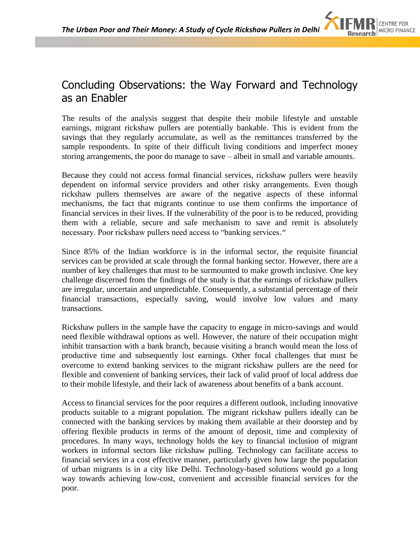### Concluding Observations: the Way Forward and Technology as an Enabler

The results of the analysis suggest that despite their mobile lifestyle and unstable earnings, migrant rickshaw pullers are potentially bankable. This is evident from the savings that they regularly accumulate, as well as the remittances transferred by the sample respondents. In spite of their difficult living conditions and imperfect money storing arrangements, the poor do manage to save – albeit in small and variable amounts.

Because they could not access formal financial services, rickshaw pullers were heavily dependent on informal service providers and other risky arrangements. Even though rickshaw pullers themselves are aware of the negative aspects of these informal mechanisms, the fact that migrants continue to use them confirms the importance of financial services in their lives. If the vulnerability of the poor is to be reduced, providing them with a reliable, secure and safe mechanism to save and remit is absolutely necessary. Poor rickshaw pullers need access to "banking services."

Since 85% of the Indian workforce is in the informal sector, the requisite financial services can be provided at scale through the formal banking sector. However, there are a number of key challenges that must to be surmounted to make growth inclusive. One key challenge discerned from the findings of the study is that the earnings of rickshaw pullers are irregular, uncertain and unpredictable. Consequently, a substantial percentage of their financial transactions, especially saving, would involve low values and many transactions.

Rickshaw pullers in the sample have the capacity to engage in micro-savings and would need flexible withdrawal options as well. However, the nature of their occupation might inhibit transaction with a bank branch, because visiting a branch would mean the loss of productive time and subsequently lost earnings. Other focal challenges that must be overcome to extend banking services to the migrant rickshaw pullers are the need for flexible and convenient of banking services, their lack of valid proof of local address due to their mobile lifestyle, and their lack of awareness about benefits of a bank account.

Access to financial services for the poor requires a different outlook, including innovative products suitable to a migrant population. The migrant rickshaw pullers ideally can be connected with the banking services by making them available at their doorstep and by offering flexible products in terms of the amount of deposit, time and complexity of procedures. In many ways, technology holds the key to financial inclusion of migrant workers in informal sectors like rickshaw pulling. Technology can facilitate access to financial services in a cost effective manner, particularly given how large the population of urban migrants is in a city like Delhi. Technology-based solutions would go a long way towards achieving low-cost, convenient and accessible financial services for the poor.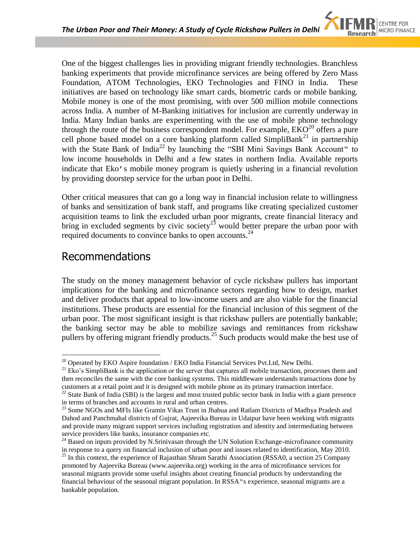One of the biggest challenges lies in providing migrant friendly technologies. Branchless banking experiments that provide microfinance services are being offered by Zero Mass Foundation, ATOM Technologies, EKO Technologies and FINO in India. These initiatives are based on technology like smart cards, biometric cards or mobile banking. Mobile money is one of the most promising, with over 500 million mobile connections across India. A number of M-Banking initiatives for inclusion are currently underway in India. Many Indian banks are experimenting with the use of mobile phone technology through the route of the business correspondent model. For example,  $EKO<sup>20</sup>$  offers a pure cell phone based model on a core banking platform called  $SimpliBank<sup>21</sup>$  in partnership with the State Bank of India<sup>22</sup> by launching the "SBI Mini Savings Bank Account" to low income households in Delhi and a few states in northern India. Available reports indicate that Eko's mobile money program is quietly ushering in a financial revolution by providing doorstep service for the urban poor in Delhi.

Other critical measures that can go a long way in financial inclusion relate to willingness of banks and sensitization of bank staff, and programs like creating specialized customer acquisition teams to link the excluded urban poor migrants, create financial literacy and bring in excluded segments by civic society<sup>23</sup> would better prepare the urban poor with required documents to convince banks to open accounts.<sup>24</sup>

### Recommendations

 $\overline{a}$ 

The study on the money management behavior of cycle rickshaw pullers has important implications for the banking and microfinance sectors regarding how to design, market and deliver products that appeal to low-income users and are also viable for the financial institutions. These products are essential for the financial inclusion of this segment of the urban poor. The most significant insight is that rickshaw pullers are potentially bankable; the banking sector may be able to mobilize savings and remittances from rickshaw pullers by offering migrant friendly products.<sup>25</sup> Such products would make the best use of

 $^{20}$  Operated by EKO Aspire foundation / EKO India Financial Services Pvt. Ltd, New Delhi.

<sup>&</sup>lt;sup>21</sup> Eko's SimpliBank is the application or the server that captures all mobile transaction, processes them and then reconciles the same with the core banking systems. This middleware understands transactions done by customers at a retail point and it is designed with mobile phone as its primary transaction interface.

<sup>&</sup>lt;sup>22</sup> State Bank of India (SBI) is the largest and most trusted public sector bank in India with a giant presence in terms of branches and accounts in rural and urban centres.

<sup>&</sup>lt;sup>23</sup> Some NGOs and MFIs like Gramin Vikas Trust in Jhabua and Ratlam Districts of Madhya Pradesh and Dahod and Panchmahal districts of Gujrat, Aajeevika Bureau in Udaipur have been working with migrants and provide many migrant support services including registration and identity and intermediating between service providers like banks, insurance companies etc.

<sup>&</sup>lt;sup>24</sup> Based on inputs provided by N.Srinivasan through the UN Solution Exchange-microfinance community in response to a query on financial inclusion of urban poor and issues related to identification, May 2010.

<sup>&</sup>lt;sup>25</sup> In this context, the experience of Rajasthan Shram Sarathi Association (RSSA0, a section 25 Company promoted by Aajeevika Bureau (www.aajeevika.org) working in the area of microfinance services for seasonal migrants provide some useful insights about creating financial products by understanding the financial behaviour of the seasonal migrant population. In RSSA"s experience, seasonal migrants are a bankable population.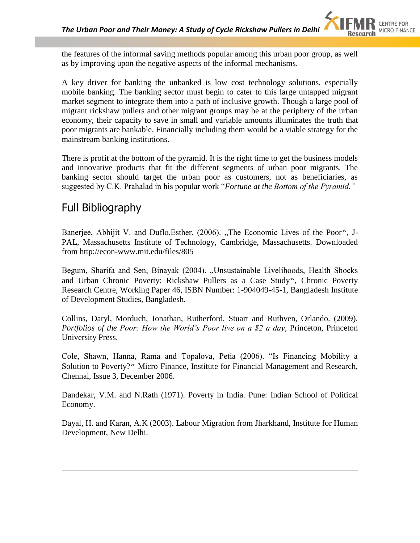the features of the informal saving methods popular among this urban poor group, as well as by improving upon the negative aspects of the informal mechanisms.

A key driver for banking the unbanked is low cost technology solutions, especially mobile banking. The banking sector must begin to cater to this large untapped migrant market segment to integrate them into a path of inclusive growth. Though a large pool of migrant rickshaw pullers and other migrant groups may be at the periphery of the urban economy, their capacity to save in small and variable amounts illuminates the truth that poor migrants are bankable. Financially including them would be a viable strategy for the mainstream banking institutions.

There is profit at the bottom of the pyramid. It is the right time to get the business models and innovative products that fit the different segments of urban poor migrants. The banking sector should target the urban poor as customers, not as beneficiaries, as suggested by C.K. Prahalad in his popular work "*Fortune at the Bottom of the Pyramid."*

# Full Bibliography

 $\overline{a}$ 

Banerjee, Abhijit V. and Duflo, Esther. (2006). "The Economic Lives of the Poor", J-PAL, Massachusetts Institute of Technology, Cambridge, Massachusetts. Downloaded from http://econ-www.mit.edu/files/805

Begum, Sharifa and Sen, Binayak (2004). "Unsustainable Livelihoods, Health Shocks and Urban Chronic Poverty: Rickshaw Pullers as a Case Study", Chronic Poverty Research Centre, Working Paper 46, ISBN Number: 1-904049-45-1, Bangladesh Institute of Development Studies, Bangladesh.

Collins, Daryl, Morduch, Jonathan, Rutherford, Stuart and Ruthven, Orlando. (2009). *Portfolios of the Poor: How the World's Poor live on a \$2 a day*, Princeton, Princeton University Press.

Cole, Shawn, Hanna, Rama and Topalova, Petia (2006). "Is Financing Mobility a Solution to Poverty?" Micro Finance, Institute for Financial Management and Research, Chennai, Issue 3, December 2006.

Dandekar, V.M. and N.Rath (1971). Poverty in India. Pune: Indian School of Political Economy.

Dayal, H. and Karan, A.K (2003). Labour Migration from Jharkhand, Institute for Human Development, New Delhi.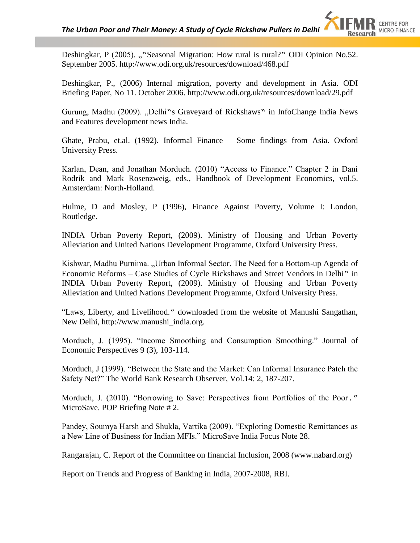Deshingkar, P (2005). ""Seasonal Migration: How rural is rural?" ODI Opinion No.52. September 2005. http://www.odi.org.uk/resources/download/468.pdf

Deshingkar, P., (2006) Internal migration, poverty and development in Asia. ODI Briefing Paper, No 11. October 2006. http://www.odi.org.uk/resources/download/29.pdf

Gurung, Madhu (2009). "Delhi"s Graveyard of Rickshaws" in InfoChange India News and Features development news India.

Ghate, Prabu, et.al. (1992). Informal Finance – Some findings from Asia. Oxford University Press.

Karlan, Dean, and Jonathan Morduch. (2010) "Access to Finance." Chapter 2 in Dani Rodrik and Mark Rosenzweig, eds., Handbook of Development Economics, vol.5. Amsterdam: North-Holland.

Hulme, D and Mosley, P (1996), Finance Against Poverty, Volume I: London, Routledge.

INDIA Urban Poverty Report, (2009). Ministry of Housing and Urban Poverty Alleviation and United Nations Development Programme, Oxford University Press.

Kishwar, Madhu Purnima. "Urban Informal Sector. The Need for a Bottom-up Agenda of Economic Reforms – Case Studies of Cycle Rickshaws and Street Vendors in Delhi" in INDIA Urban Poverty Report, (2009). Ministry of Housing and Urban Poverty Alleviation and United Nations Development Programme, Oxford University Press.

"Laws, Liberty, and Livelihood." downloaded from the website of Manushi Sangathan, New Delhi, http://www.manushi\_india.org.

Morduch, J. (1995). "Income Smoothing and Consumption Smoothing." Journal of Economic Perspectives 9 (3), 103-114.

Morduch, J (1999). "Between the State and the Market: Can Informal Insurance Patch the Safety Net?" The World Bank Research Observer, Vol.14: 2, 187-207.

Morduch, J. (2010). "Borrowing to Save: Perspectives from Portfolios of the Poor." MicroSave. POP Briefing Note # 2.

Pandey, Soumya Harsh and Shukla, Vartika (2009). "Exploring Domestic Remittances as a New Line of Business for Indian MFIs." MicroSave India Focus Note 28.

Rangarajan, C. Report of the Committee on financial Inclusion, 2008 (www.nabard.org)

Report on Trends and Progress of Banking in India, 2007-2008, RBI.